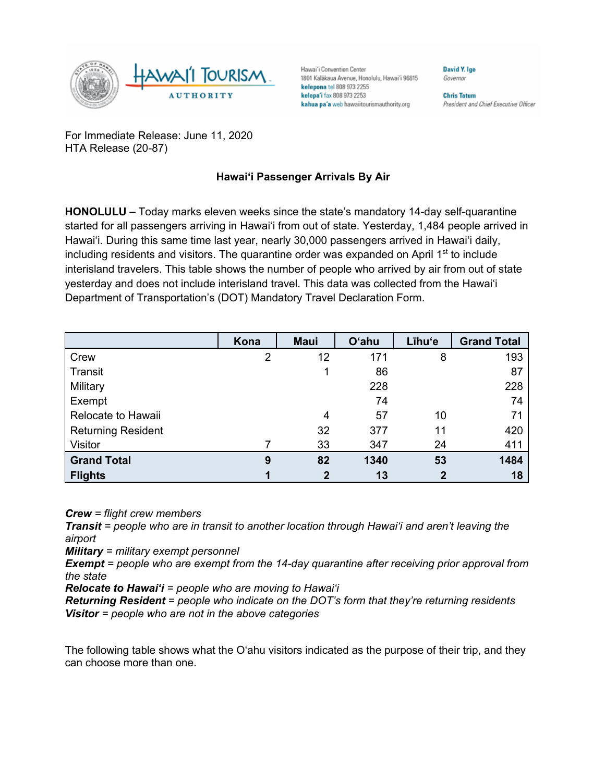

Hawai'i Convention Center 1801 Kalākaua Avenue, Honolulu, Hawai'i 96815 kelepona tel 808 973 2255 kelepa'i fax 808 973 2253 kahua pa'a web hawaiitourismauthority.org

**Chris Tatum** President and Chief Executive Officer

David Y. Ige

Governor

For Immediate Release: June 11, 2020 HTA Release (20-87)

## **Hawai'i Passenger Arrivals By Air**

**HONOLULU –** Today marks eleven weeks since the state's mandatory 14-day self-quarantine started for all passengers arriving in Hawai'i from out of state. Yesterday, 1,484 people arrived in Hawai'i. During this same time last year, nearly 30,000 passengers arrived in Hawai'i daily, including residents and visitors. The quarantine order was expanded on April 1<sup>st</sup> to include interisland travelers. This table shows the number of people who arrived by air from out of state yesterday and does not include interisland travel. This data was collected from the Hawai'i Department of Transportation's (DOT) Mandatory Travel Declaration Form.

|                           | Kona | <b>Maui</b>  | <b>O'ahu</b> | Līhu'e      | <b>Grand Total</b> |
|---------------------------|------|--------------|--------------|-------------|--------------------|
| Crew                      | 2    | 12           | 171          | 8           | 193                |
| <b>Transit</b>            |      |              | 86           |             | 87                 |
| Military                  |      |              | 228          |             | 228                |
| Exempt                    |      |              | 74           |             | 74                 |
| Relocate to Hawaii        |      | 4            | 57           | 10          | 71                 |
| <b>Returning Resident</b> |      | 32           | 377          | 11          | 420                |
| Visitor                   |      | 33           | 347          | 24          | 411                |
| <b>Grand Total</b>        | 9    | 82           | 1340         | 53          | 1484               |
| <b>Flights</b>            |      | $\mathbf{2}$ | 13           | $\mathbf 2$ | 18                 |

*Crew = flight crew members*

*Transit = people who are in transit to another location through Hawai'i and aren't leaving the airport*

*Military = military exempt personnel*

*Exempt = people who are exempt from the 14-day quarantine after receiving prior approval from the state*

*Relocate to Hawai'i = people who are moving to Hawai'i*

*Returning Resident = people who indicate on the DOT's form that they're returning residents Visitor = people who are not in the above categories*

The following table shows what the O'ahu visitors indicated as the purpose of their trip, and they can choose more than one.